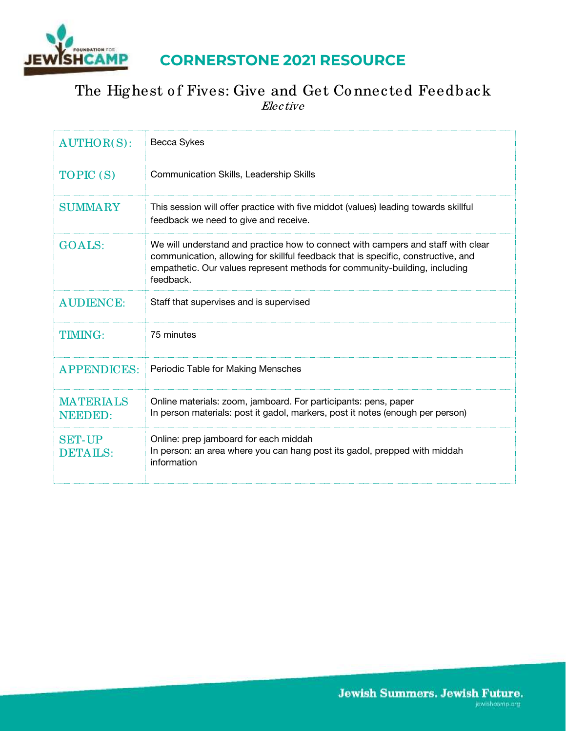

# **CORNERSTONE 2021 RESOURCE**

# The Highest of Fives: Give and Get Connected Feedback Elective

| $AUTHOR(S)$ :                      | Becca Sykes                                                                                                                                                                                                                                                      |
|------------------------------------|------------------------------------------------------------------------------------------------------------------------------------------------------------------------------------------------------------------------------------------------------------------|
| TOPIC (S)                          | Communication Skills, Leadership Skills                                                                                                                                                                                                                          |
| <b>SUMMARY</b>                     | This session will offer practice with five middot (values) leading towards skillful<br>feedback we need to give and receive.                                                                                                                                     |
| <b>GOALS:</b>                      | We will understand and practice how to connect with campers and staff with clear<br>communication, allowing for skillful feedback that is specific, constructive, and<br>empathetic. Our values represent methods for community-building, including<br>feedback. |
| <b>AUDIENCE:</b>                   | Staff that supervises and is supervised                                                                                                                                                                                                                          |
| <b>TIMING:</b>                     | 75 minutes                                                                                                                                                                                                                                                       |
| <b>APPENDICES:</b>                 | Periodic Table for Making Mensches                                                                                                                                                                                                                               |
| <b>MATERIALS</b><br><b>NEEDED:</b> | Online materials: zoom, jamboard. For participants: pens, paper<br>In person materials: post it gadol, markers, post it notes (enough per person)                                                                                                                |
| <b>SET-UP</b><br><b>DETAILS:</b>   | Online: prep jamboard for each middah<br>In person: an area where you can hang post its gadol, prepped with middah<br>information                                                                                                                                |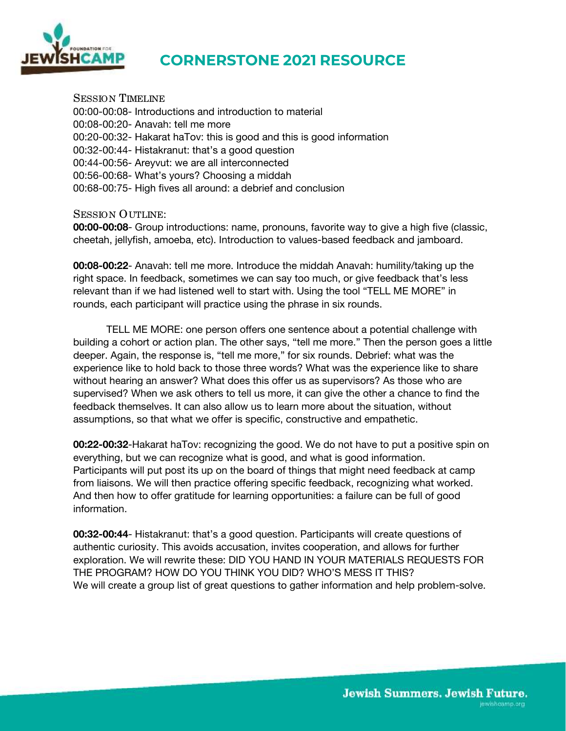

### **CORNERSTONE 2021 RESOURCE**

SESSION TIMELINE 00:00-00:08- Introductions and introduction to material 00:08-00:20- Anavah: tell me more 00:20-00:32- Hakarat haTov: this is good and this is good information 00:32-00:44- Histakranut: that's a good question 00:44-00:56- Areyvut: we are all interconnected 00:56-00:68- What's yours? Choosing a middah 00:68-00:75- High fives all around: a debrief and conclusion

SESSION OUTLINE:

**00:00-00:08**- Group introductions: name, pronouns, favorite way to give a high five (classic, cheetah, jellyfish, amoeba, etc). Introduction to values-based feedback and jamboard.

**00:08-00:22**- Anavah: tell me more. Introduce the middah Anavah: humility/taking up the right space. In feedback, sometimes we can say too much, or give feedback that's less relevant than if we had listened well to start with. Using the tool "TELL ME MORE" in rounds, each participant will practice using the phrase in six rounds.

 TELL ME MORE: one person offers one sentence about a potential challenge with building a cohort or action plan. The other says, "tell me more." Then the person goes a little deeper. Again, the response is, "tell me more," for six rounds. Debrief: what was the experience like to hold back to those three words? What was the experience like to share without hearing an answer? What does this offer us as supervisors? As those who are supervised? When we ask others to tell us more, it can give the other a chance to find the feedback themselves. It can also allow us to learn more about the situation, without assumptions, so that what we offer is specific, constructive and empathetic.

**00:22-00:32**-Hakarat haTov: recognizing the good. We do not have to put a positive spin on everything, but we can recognize what is good, and what is good information. Participants will put post its up on the board of things that might need feedback at camp from liaisons. We will then practice offering specific feedback, recognizing what worked. And then how to offer gratitude for learning opportunities: a failure can be full of good information.

**00:32-00:44**- Histakranut: that's a good question. Participants will create questions of authentic curiosity. This avoids accusation, invites cooperation, and allows for further exploration. We will rewrite these: DID YOU HAND IN YOUR MATERIALS REQUESTS FOR THE PROGRAM? HOW DO YOU THINK YOU DID? WHO'S MESS IT THIS? We will create a group list of great questions to gather information and help problem-solve.